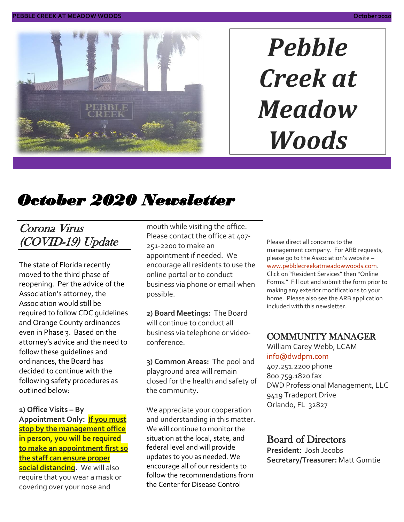

# *Pebble Creek at Meadow Woods*

# *October 2020 Newsletter*

### Corona Virus (COVID-19) Update

The state of Florida recently moved to the third phase of reopening. Per the advice of the Association's attorney, the Association would still be required to follow CDC guidelines and Orange County ordinances even in Phase 3. Based on the attorney's advice and the need to follow these guidelines and ordinances, the Board has decided to continue with the following safety procedures as outlined below:

**1) Office Visits – By Appointment Only: If you must stop by the management office in person, you will be required to make an appointment first so the staff can ensure proper social distancing.** We will also require that you wear a mask or covering over your nose and

mouth while visiting the office. Please contact the office at 407-251-2200 to make an appointment if needed. We encourage all residents to use the online portal or to conduct business via phone or email when possible.

**2) Board Meetings:** The Board will continue to conduct all business via telephone or videoconference.

**3) Common Areas:** The pool and playground area will remain closed for the health and safety of the community.

We appreciate your cooperation and understanding in this matter. We will continue to monitor the situation at the local, state, and federal level and will provide updates to you as needed. We encourage all of our residents to follow the recommendations from the Center for Disease Control

Please direct all concerns to the management company. For ARB requests, please go to the Association's website – [www.pebblecreekatmeadowwoods.com.](http://www.pebblecreekatmeadowwoods.com/) Click on "Resident Services" then "Online Forms." Fill out and submit the form prior to making any exterior modifications to your home. Please also see the ARB application included with this newsletter.

### COMMUNITY MANAGER

William Carey Webb, LCAM [info@dwdpm.com](mailto:info@dwdpm.com) 

407.251.2200 phone 800.759.1820 fax DWD Professional Management, LLC 9419 Tradeport Drive Orlando, FL 32827

### Board of Directors

**President:** Josh Jacobs **Secretary/Treasurer:** Matt Gumtie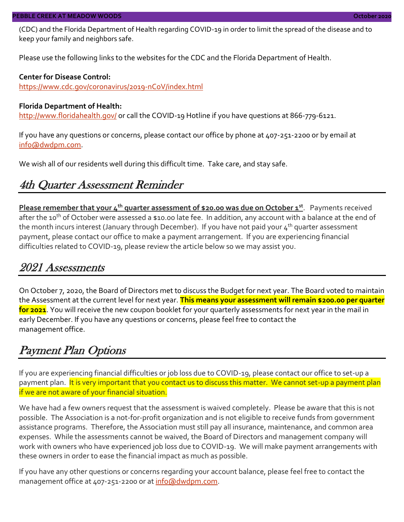(CDC) and the Florida Department of Health regarding COVID-19 in order to limit the spread of the disease and to keep your family and neighbors safe.

Please use the following links to the websites for the CDC and the Florida Department of Health.

#### **Center for Disease Control:**

<https://www.cdc.gov/coronavirus/2019-nCoV/index.html>

#### **Florida Department of Health:**

<http://www.floridahealth.gov/> or call the COVID-19 Hotline if you have questions at 866-779-6121.

If you have any questions or concerns, please contact our office by phone at 407-251-2200 or by email at [info@dwdpm.com.](mailto:info@dwdpm.com)

We wish all of our residents well during this difficult time. Take care, and stay safe.

### 4th Quarter Assessment Reminder

**Please remember that your 4th quarter assessment of \$20.00 was due on October 1st** . Payments received after the 10<sup>th</sup> of October were assessed a \$10.00 late fee. In addition, any account with a balance at the end of the month incurs interest (January through December). If you have not paid your  $4^{th}$  quarter assessment payment, please contact our office to make a payment arrangement. If you are experiencing financial difficulties related to COVID-19, please review the article below so we may assist you.

### 2021 Assessments

On October 7, 2020, the Board of Directors met to discuss the Budget for next year. The Board voted to maintain the Assessment at the current level for next year. **This means your assessment will remain \$200.00 per quarter for 2021**. You will receive the new coupon booklet for your quarterly assessments for next year in the mail in early December. If you have any questions or concerns, please feel free to contact the management office.

### Payment Plan Options

If you are experiencing financial difficulties or job loss due to COVID-19, please contact our office to set-up a payment plan. It is very important that you contact us to discuss this matter. We cannot set-up a payment plan if we are not aware of your financial situation.

We have had a few owners request that the assessment is waived completely. Please be aware that this is not possible. The Association is a not-for-profit organization and is not eligible to receive funds from government assistance programs. Therefore, the Association must still pay all insurance, maintenance, and common area expenses. While the assessments cannot be waived, the Board of Directors and management company will work with owners who have experienced job loss due to COVID-19. We will make payment arrangements with these owners in order to ease the financial impact as much as possible.

If you have any other questions or concerns regarding your account balance, please feel free to contact the management office at 407-251-2200 or at [info@dwdpm.com.](mailto:info@dwdpm.com)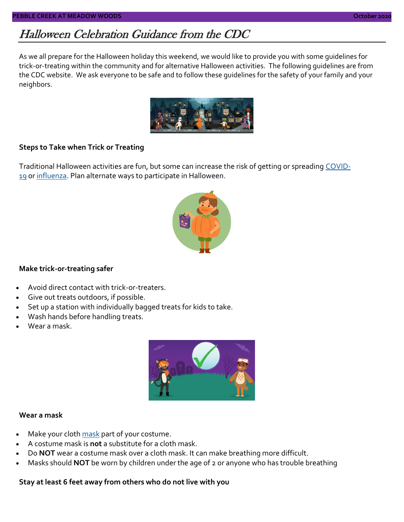### Halloween Celebration Guidance from the CDC

As we all prepare for the Halloween holiday this weekend, we would like to provide you with some guidelines for trick-or-treating within the community and for alternative Halloween activities. The following guidelines are from the CDC website. We ask everyone to be safe and to follow these guidelines for the safety of your family and your neighbors.



#### **Steps to Take when Trick or Treating**

Traditional Halloween activities are fun, but some can increase the risk of getting or spreading [COVID-](https://www.cdc.gov/coronavirus)[19](https://www.cdc.gov/coronavirus) or [influenza.](https://www.cdc.gov/flu/Index.htm) Plan alternate ways to participate in Halloween.



#### **Make trick-or-treating safer**

- Avoid direct contact with trick-or-treaters.
- Give out treats outdoors, if possible.
- Set up a station with individually bagged treats for kids to take.
- Wash hands before handling treats.
- Wear a mask.



#### **Wear a mask**

- Make your cloth [mask](https://www.cdc.gov/coronavirus/2019-ncov/prevent-getting-sick/diy-cloth-face-coverings.html) part of your costume.
- A costume mask is **not** a substitute for a cloth mask.
- Do **NOT** wear a costume mask over a cloth mask. It can make breathing more difficult.
- Masks should **NOT** be worn by children under the age of 2 or anyone who has trouble breathing

**Stay at least 6 feet away from others who do not live with you**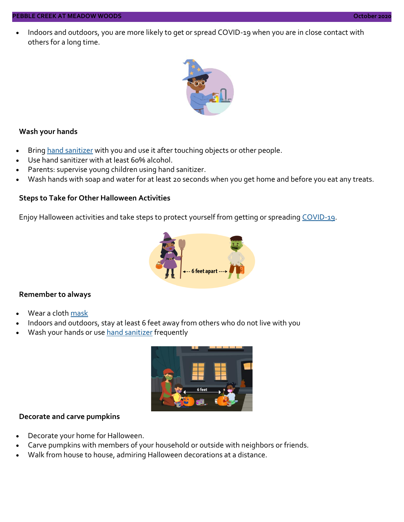• Indoors and outdoors, you are more likely to get or spread COVID-19 when you are in close contact with others for a long time.



#### **Wash your hands**

- Bring [hand sanitizer](https://www.cdc.gov/handwashing/hand-sanitizer-use.html) with you and use it after touching objects or other people.
- Use hand sanitizer with at least 60% alcohol.
- Parents: supervise young children using hand sanitizer.
- Wash hands with soap and water for at least 20 seconds when you get home and before you eat any treats.

#### **Steps to Take for Other Halloween Activities**

Enjoy Halloween activities and take steps to protect yourself from getting or spreading [COVID-19.](https://www.cdc.gov/coronavirus)



#### **Remember to always**

- Wear a cloth [mask](https://www.cdc.gov/coronavirus/2019-ncov/prevent-getting-sick/diy-cloth-face-coverings.html)
- Indoors and outdoors, stay at least 6 feet away from others who do not live with you
- Wash your hands or use [hand sanitizer](https://www.cdc.gov/handwashing/hand-sanitizer-use.html) frequently



#### **Decorate and carve pumpkins**

- Decorate your home for Halloween.
- Carve pumpkins with members of your household or outside with neighbors or friends.
- Walk from house to house, admiring Halloween decorations at a distance.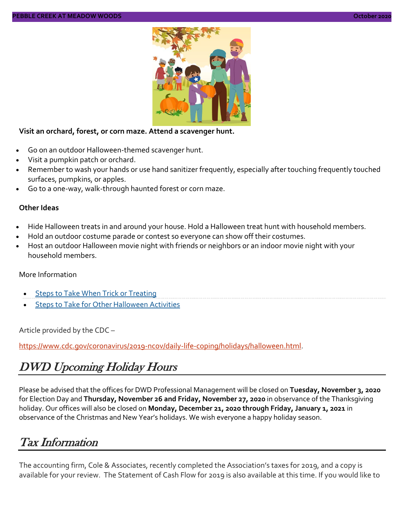

#### **Visit an orchard, forest, or corn maze. Attend a scavenger hunt.**

- Go on an outdoor Halloween-themed scavenger hunt.
- Visit a pumpkin patch or orchard.
- Remember to wash your hands or use hand sanitizer frequently, especially after touching frequently touched surfaces, pumpkins, or apples.
- Go to a one-way, walk-through haunted forest or corn maze.

#### **Other Ideas**

- Hide Halloween treats in and around your house. Hold a Halloween treat hunt with household members.
- Hold an outdoor costume parade or contest so everyone can show off their costumes.
- Host an outdoor Halloween movie night with friends or neighbors or an indoor movie night with your household members.

#### More Information

- **[Steps to Take When Trick or Treating](https://www.cdc.gov/coronavirus/2019-ncov/downloads/daily-life-coping/Trick-or-treating.pdf)**
- **[Steps to Take for Other Halloween Activities](https://www.cdc.gov/coronavirus/2019-ncov/downloads/daily-life-coping/Halloween-Other-Activities.pdf)**

Article provided by the CDC –

[https://www.cdc.gov/coronavirus/2019-ncov/daily-life-coping/holidays/halloween.html.](https://www.cdc.gov/coronavirus/2019-ncov/daily-life-coping/holidays/halloween.html)

### DWD Upcoming Holiday Hours

Please be advised that the offices for DWD Professional Management will be closed on **Tuesday, November 3, 2020**  for Election Day and **Thursday, November 26 and Friday, November 27, 2020** in observance of the Thanksgiving holiday. Our offices will also be closed on **Monday, December 21, 2020 through Friday, January 1, 2021** in observance of the Christmas and New Year's holidays. We wish everyone a happy holiday season.

### Tax Information

The accounting firm, Cole & Associates, recently completed the Association's taxes for 2019, and a copy is available for your review. The Statement of Cash Flow for 2019 is also available at this time. If you would like to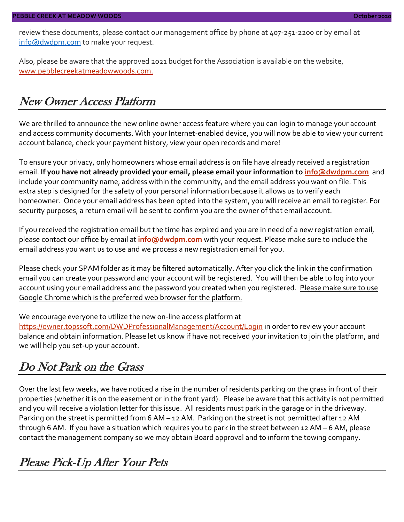review these documents, please contact our management office by phone at 407-251-2200 or by email at [info@dwdpm.com](mailto:info@dwdpm.com) to make your request.

Also, please be aware that the approved 2021 budget for the Association is available on the website, [www.pebblecreekatmeadowwoods.com.](http://www.pebblecreekatmeadowwoods.com/)

### New Owner Access Platform

We are thrilled to announce the new online owner access feature where you can login to manage your account and access community documents. With your Internet-enabled device, you will now be able to view your current account balance, check your payment history, view your open records and more!

To ensure your privacy, only homeowners whose email address is on file have already received a registration email. **If you have not already provided your email, please email your information to [info@dwdpm.com](mailto:info@dwdpm.com)** and include your community name, address within the community, and the email address you want on file. This extra step is designed for the safety of your personal information because it allows us to verify each homeowner. Once your email address has been opted into the system, you will receive an email to register. For security purposes, a return email will be sent to confirm you are the owner of that email account.

If you received the registration email but the time has expired and you are in need of a new registration email, please contact our office by email at **[info@dwdpm.com](mailto:info@dwdpm.com)** with your request. Please make sure to include the email address you want us to use and we process a new registration email for you.

Please check your SPAM folder as it may be filtered automatically. After you click the link in the confirmation email you can create your password and your account will be registered. You will then be able to log into your account using your email address and the password you created when you registered. Please make sure to use Google Chrome which is the preferred web browser for the platform.

We encourage everyone to utilize the new on-line access platform at <https://owner.topssoft.com/DWDProfessionalManagement/Account/Login> in order to review your account balance and obtain information. Please let us know if have not received your invitation to join the platform, and we will help you set-up your account.

### Do Not Park on the Grass

Over the last few weeks, we have noticed a rise in the number of residents parking on the grass in front of their properties (whether it is on the easement or in the front yard). Please be aware that this activity is not permitted and you will receive a violation letter for this issue. All residents must park in the garage or in the driveway. Parking on the street is permitted from 6 AM – 12 AM. Parking on the street is not permitted after 12 AM through 6 AM. If you have a situation which requires you to park in the street between 12 AM – 6 AM, please contact the management company so we may obtain Board approval and to inform the towing company.

### Please Pick-Up After Your Pets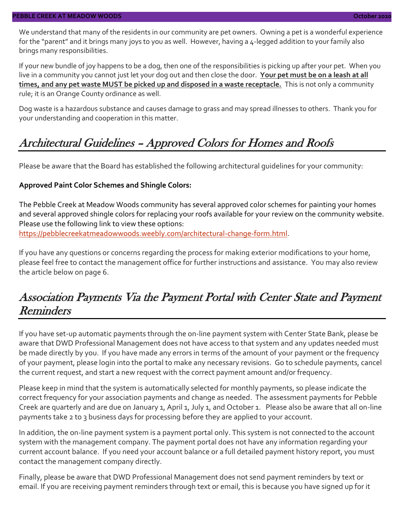We understand that many of the residents in our community are pet owners. Owning a pet is a wonderful experience for the "parent" and it brings many joys to you as well. However, having a 4-legged addition to your family also brings many responsibilities.

If your new bundle of joy happens to be a dog, then one of the responsibilities is picking up after your pet. When you live in a community you cannot just let your dog out and then close the door. **Your pet must be on a leash at all times, and any pet waste MUST be picked up and disposed in a waste receptacle.** This is not only a community rule; it is an Orange County ordinance as well.

Dog waste is a hazardous substance and causes damage to grass and may spread illnesses to others. Thank you for your understanding and cooperation in this matter.

### Architectural Guidelines – Approved Colors for Homes and Roofs

Please be aware that the Board has established the following architectural guidelines for your community:

#### **Approved Paint Color Schemes and Shingle Colors:**

The Pebble Creek at Meadow Woods community has several approved color schemes for painting your homes and several approved shingle colors for replacing your roofs available for your review on the community website. Please use the following link to view these options:

[https://pebblecreekatmeadowwoods.weebly.com/architectural-change-form.html.](https://pebblecreekatmeadowwoods.weebly.com/architectural-change-form.html)

If you have any questions or concerns regarding the process for making exterior modifications to your home, please feel free to contact the management office for further instructions and assistance. You may also review the article below on page 6.

### Association Payments Via the Payment Portal with Center State and Payment Reminders

If you have set-up automatic payments through the on-line payment system with Center State Bank, please be aware that DWD Professional Management does not have access to that system and any updates needed must be made directly by you. If you have made any errors in terms of the amount of your payment or the frequency of your payment, please login into the portal to make any necessary revisions. Go to schedule payments, cancel the current request, and start a new request with the correct payment amount and/or frequency.

Please keep in mind that the system is automatically selected for monthly payments, so please indicate the correct frequency for your association payments and change as needed. The assessment payments for Pebble Creek are quarterly and are due on January 1, April 1, July 1, and October 1. Please also be aware that all on-line payments take 2 to 3 business days for processing before they are applied to your account.

In addition, the on-line payment system is a payment portal only. This system is not connected to the account system with the management company. The payment portal does not have any information regarding your current account balance. If you need your account balance or a full detailed payment history report, you must contact the management company directly.

Finally, please be aware that DWD Professional Management does not send payment reminders by text or email. If you are receiving payment reminders through text or email, this is because you have signed up for it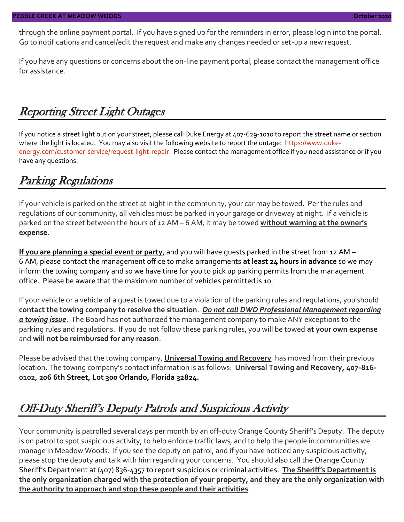through the online payment portal. If you have signed up for the reminders in error, please login into the portal. Go to notifications and cancel/edit the request and make any changes needed or set-up a new request.

If you have any questions or concerns about the on-line payment portal, please contact the management office for assistance.

### Reporting Street Light Outages

If you notice a street light out on your street, please call Duke Energy at 407-629-1010 to report the street name or section where the light is located. You may also visit the following website to report the outage: [https://www.duke](https://www.duke-energy.com/customer-service/request-light-repair)[energy.com/customer-service/request-light-repair.](https://www.duke-energy.com/customer-service/request-light-repair) Please contact the management office if you need assistance or if you have any questions.

### Parking Regulations

If your vehicle is parked on the street at night in the community, your car may be towed. Per the rules and regulations of our community, all vehicles must be parked in your garage or driveway at night. If a vehicle is parked on the street between the hours of 12 AM – 6 AM, it may be towed **without warning at the owner's expense**.

**If you are planning a special event or party**, and you will have guests parked in the street from 12 AM – 6 AM, please contact the management office to make arrangements **at least 24 hours in advance** so we may inform the towing company and so we have time for you to pick up parking permits from the management office. Please be aware that the maximum number of vehicles permitted is 10.

If your vehicle or a vehicle of a guest is towed due to a violation of the parking rules and regulations, you should **contact the towing company to resolve the situation**. *Do not call DWD Professional Management regarding a towing issue*. The Board has not authorized the management company to make ANY exceptions to the parking rules and regulations. If you do not follow these parking rules, you will be towed **at your own expense** and **will not be reimbursed for any reason**.

Please be advised that the towing company, **Universal Towing and Recovery**, has moved from their previous location. The towing company's contact information is as follows: **Universal Towing and Recovery, 407-816- 0102, 206 6th Street, Lot 300 Orlando, Florida 32824.**

### Off-Duty Sheriff's Deputy Patrols and Suspicious Activity

Your community is patrolled several days per month by an off-duty Orange County Sheriff's Deputy. The deputy is on patrol to spot suspicious activity, to help enforce traffic laws, and to help the people in communities we manage in Meadow Woods. If you see the deputy on patrol, and if you have noticed any suspicious activity, please stop the deputy and talk with him regarding your concerns. You should also call the Orange County Sheriff's Department at (407) 836-4357 to report suspicious or criminal activities. **The Sheriff's Department is the only organization charged with the protection of your property, and they are the only organization with the authority to approach and stop these people and their activities**.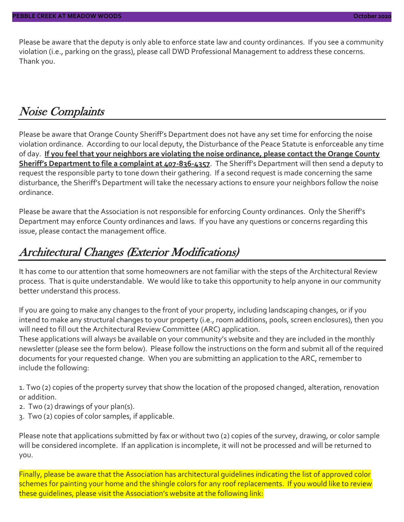Please be aware that the deputy is only able to enforce state law and county ordinances. If you see a community violation (i.e., parking on the grass), please call DWD Professional Management to address these concerns. Thank you.

### Noise Complaints

Please be aware that Orange County Sheriff's Department does not have any set time for enforcing the noise violation ordinance. According to our local deputy, the Disturbance of the Peace Statute is enforceable any time of day. **If you feel that your neighbors are violating the noise ordinance, please contact the Orange County Sheriff's Department to file a complaint at 407-836-4357**. The Sheriff's Department will then send a deputy to request the responsible party to tone down their gathering. If a second request is made concerning the same disturbance, the Sheriff's Department will take the necessary actions to ensure your neighbors follow the noise ordinance.

Please be aware that the Association is not responsible for enforcing County ordinances. Only the Sheriff's Department may enforce County ordinances and laws. If you have any questions or concerns regarding this issue, please contact the management office.

### Architectural Changes (Exterior Modifications)

It has come to our attention that some homeowners are not familiar with the steps of the Architectural Review process. That is quite understandable. We would like to take this opportunity to help anyone in our community better understand this process.

If you are going to make any changes to the front of your property, including landscaping changes, or if you intend to make any structural changes to your property (i.e., room additions, pools, screen enclosures), then you will need to fill out the Architectural Review Committee (ARC) application.

These applications will always be available on your community's website and they are included in the monthly newsletter (please see the form below). Please follow the instructions on the form and submit all of the required documents for your requested change. When you are submitting an application to the ARC, remember to include the following:

1. Two (2) copies of the property survey that show the location of the proposed changed, alteration, renovation or addition.

- 2. Two (2) drawings of your plan(s).
- 3. Two (2) copies of color samples, if applicable.

Please note that applications submitted by fax or without two (2) copies of the survey, drawing, or color sample will be considered incomplete. If an application is incomplete, it will not be processed and will be returned to you.

Finally, please be aware that the Association has architectural guidelines indicating the list of approved color schemes for painting your home and the shingle colors for any roof replacements. If you would like to review these guidelines, please visit the Association's website at the following link: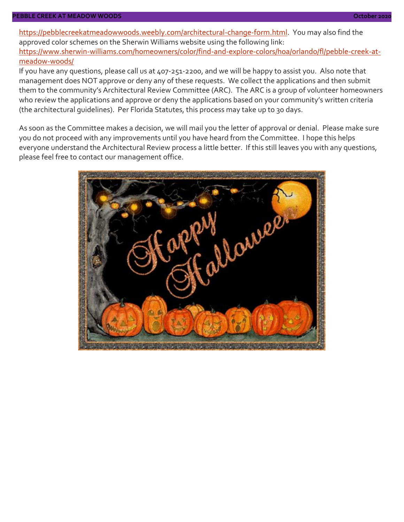#### **PEBBLE CREEK AT MEADOW WOODS October 2020**

[https://pebblecreekatmeadowwoods.weebly.com/architectural-change-form.html.](https://pebblecreekatmeadowwoods.weebly.com/architectural-change-form.html) You may also find the approved color schemes on the Sherwin Williams website using the following link: [https://www.sherwin-williams.com/homeowners/color/find-and-explore-colors/hoa/orlando/fl/pebble-creek-at](https://www.sherwin-williams.com/homeowners/color/find-and-explore-colors/hoa/orlando/fl/pebble-creek-at-meadow-woods/)[meadow-woods/](https://www.sherwin-williams.com/homeowners/color/find-and-explore-colors/hoa/orlando/fl/pebble-creek-at-meadow-woods/)

If you have any questions, please call us at 407-251-2200, and we will be happy to assist you. Also note that management does NOT approve or deny any of these requests. We collect the applications and then submit them to the community's Architectural Review Committee (ARC). The ARC is a group of volunteer homeowners who review the applications and approve or deny the applications based on your community's written criteria (the architectural guidelines). Per Florida Statutes, this process may take up to 30 days.

As soon as the Committee makes a decision, we will mail you the letter of approval or denial. Please make sure you do not proceed with any improvements until you have heard from the Committee. I hope this helps everyone understand the Architectural Review process a little better. If this still leaves you with any questions, please feel free to contact our management office.

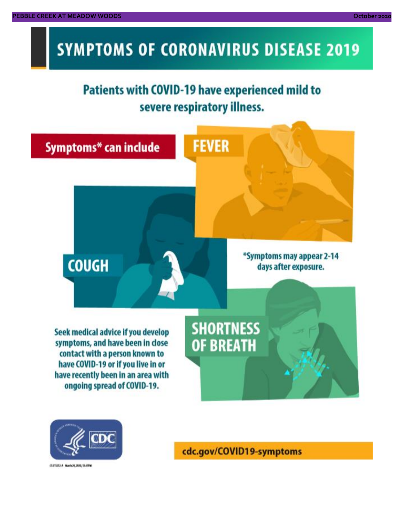# **SYMPTOMS OF CORONAVIRUS DISEASE 2019**

## **Patients with COVID-19 have experienced mild to** severe respiratory illness.





03/02/14 NovA20, 2020, 12:59 M

cdc.gov/COVID19-symptoms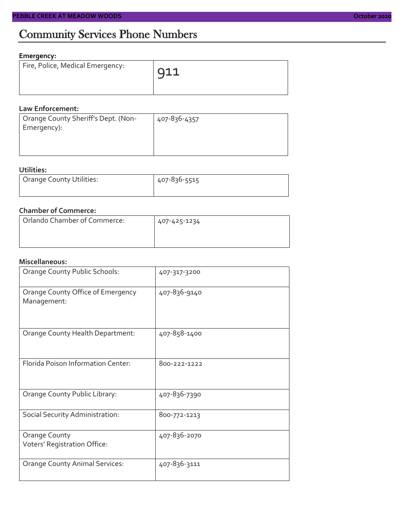### **Emergency:**

| Fire, Police, Medical Emergency: | 911 |
|----------------------------------|-----|
|                                  |     |

#### **Law Enforcement:**

| Orange County Sheriff's Dept. (Non-<br>Emergency): | 407-836-4357 |
|----------------------------------------------------|--------------|
|                                                    |              |
|                                                    |              |

### **Utilities:**

| Orange County Utilities: | 407-836-5515 |  |  |
|--------------------------|--------------|--|--|
|                          |              |  |  |

#### **Chamber of Commerce:**

| Orlando Chamber of Commerce: | 407-425-1234 |  |  |
|------------------------------|--------------|--|--|
|                              |              |  |  |

#### **Miscellaneous:**

| Orange County Public Schools:                        | 407-317-3200 |
|------------------------------------------------------|--------------|
| Orange County Office of Emergency<br>Management:     | 407-836-9140 |
| Orange County Health Department:                     | 407-858-1400 |
| Florida Poison Information Center:                   | 800-222-1222 |
| Orange County Public Library:                        | 407-836-7390 |
| Social Security Administration:                      | 800-772-1213 |
| <b>Orange County</b><br>Voters' Registration Office: | 407-836-2070 |
| <b>Orange County Animal Services:</b>                | 407-836-3111 |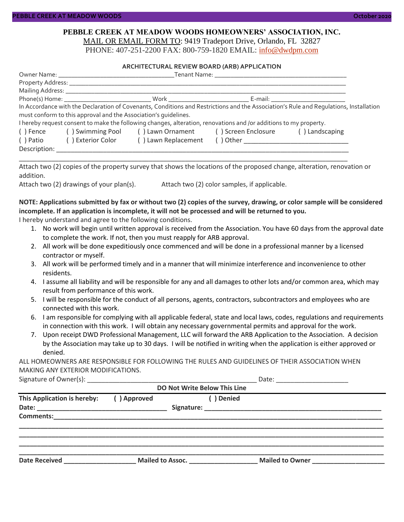#### **PEBBLE CREEK AT MEADOW WOODS HOMEOWNERS' ASSOCIATION, INC.** MAIL OR EMAIL FORM TO: 9419 Tradeport Drive, Orlando, FL 32827

PHONE: 407-251-2200 FAX: 800-759-1820 EMAIL: [info@dwdpm.com](mailto:info@dwdpm.com)

#### **ARCHITECTURAL REVIEW BOARD (ARB) APPLICATION**

| Owner Name: The contract of the contract of the contract of the contract of the contract of the contract of the contract of the contract of the contract of the contract of the contract of the contract of the contract of th |                                                                 |                                                       |                                          |                |  |  |
|--------------------------------------------------------------------------------------------------------------------------------------------------------------------------------------------------------------------------------|-----------------------------------------------------------------|-------------------------------------------------------|------------------------------------------|----------------|--|--|
|                                                                                                                                                                                                                                |                                                                 |                                                       |                                          |                |  |  |
| Mailing Address: _____________                                                                                                                                                                                                 |                                                                 |                                                       |                                          |                |  |  |
|                                                                                                                                                                                                                                |                                                                 |                                                       | E-mail: ____________________________     |                |  |  |
| In Accordance with the Declaration of Covenants, Conditions and Restrictions and the Association's Rule and Regulations, Installation                                                                                          |                                                                 |                                                       |                                          |                |  |  |
|                                                                                                                                                                                                                                | must conform to this approval and the Association's quidelines. |                                                       |                                          |                |  |  |
| I hereby request consent to make the following changes, alteration, renovations and /or additions to my property.                                                                                                              |                                                                 |                                                       |                                          |                |  |  |
| ( ) Fence                                                                                                                                                                                                                      |                                                                 | () Swimming Pool () Lawn Ornament () Screen Enclosure |                                          | () Landscaping |  |  |
| ( ) Patio                                                                                                                                                                                                                      | () Exterior Color                                               | () Lawn Replacement                                   | () Other _______________________________ |                |  |  |
| Description:                                                                                                                                                                                                                   |                                                                 |                                                       |                                          |                |  |  |

Attach two (2) copies of the property survey that shows the locations of the proposed change, alteration, renovation or addition.

\_\_\_\_\_\_\_\_\_\_\_\_\_\_\_\_\_\_\_\_\_\_\_\_\_\_\_\_\_\_\_\_\_\_\_\_\_\_\_\_\_\_\_\_\_\_\_\_\_\_\_\_\_\_\_\_\_\_\_\_\_\_\_\_\_\_\_\_\_\_\_\_\_\_\_\_\_\_\_\_\_\_\_\_\_\_\_\_\_\_\_

Attach two (2) drawings of your plan(s). Attach two (2) color samples, if applicable.

#### **NOTE: Applications submitted by fax or without two (2) copies of the survey, drawing, or color sample will be considered incomplete. If an application is incomplete, it will not be processed and will be returned to you.**

I hereby understand and agree to the following conditions.

- 1. No work will begin until written approval is received from the Association. You have 60 days from the approval date to complete the work. If not, then you must reapply for ARB approval.
- 2. All work will be done expeditiously once commenced and will be done in a professional manner by a licensed contractor or myself.
- 3. All work will be performed timely and in a manner that will minimize interference and inconvenience to other residents.
- 4. I assume all liability and will be responsible for any and all damages to other lots and/or common area, which may result from performance of this work.
- 5. I will be responsible for the conduct of all persons, agents, contractors, subcontractors and employees who are connected with this work.
- 6. I am responsible for complying with all applicable federal, state and local laws, codes, regulations and requirements in connection with this work. I will obtain any necessary governmental permits and approval for the work.
- 7. Upon receipt DWD Professional Management, LLC will forward the ARB Application to the Association. A decision by the Association may take up to 30 days. I will be notified in writing when the application is either approved or denied.

ALL HOMEOWNERS ARE RESPONSIBLE FOR FOLLOWING THE RULES AND GUIDELINES OF THEIR ASSOCIATION WHEN MAKING ANY EXTERIOR MODIFICATIONS.  $Sianature of Owner(s):$ 

| Signature of Owner(s): Network and the set of the set of the set of the set of the set of the set of the set o |             | Date:<br>the control of the control of the control of the control of the control of the control of |                 |  |  |  |
|----------------------------------------------------------------------------------------------------------------|-------------|----------------------------------------------------------------------------------------------------|-----------------|--|--|--|
|                                                                                                                |             | DO Not Write Below This Line                                                                       |                 |  |  |  |
| This Application is hereby:                                                                                    | () Approved | ( ) Denied                                                                                         |                 |  |  |  |
|                                                                                                                |             |                                                                                                    |                 |  |  |  |
|                                                                                                                |             |                                                                                                    |                 |  |  |  |
|                                                                                                                |             |                                                                                                    |                 |  |  |  |
|                                                                                                                |             |                                                                                                    |                 |  |  |  |
|                                                                                                                |             |                                                                                                    |                 |  |  |  |
|                                                                                                                |             |                                                                                                    |                 |  |  |  |
| Date Received                                                                                                  |             | Mailed to Assoc.                                                                                   | Mailed to Owner |  |  |  |